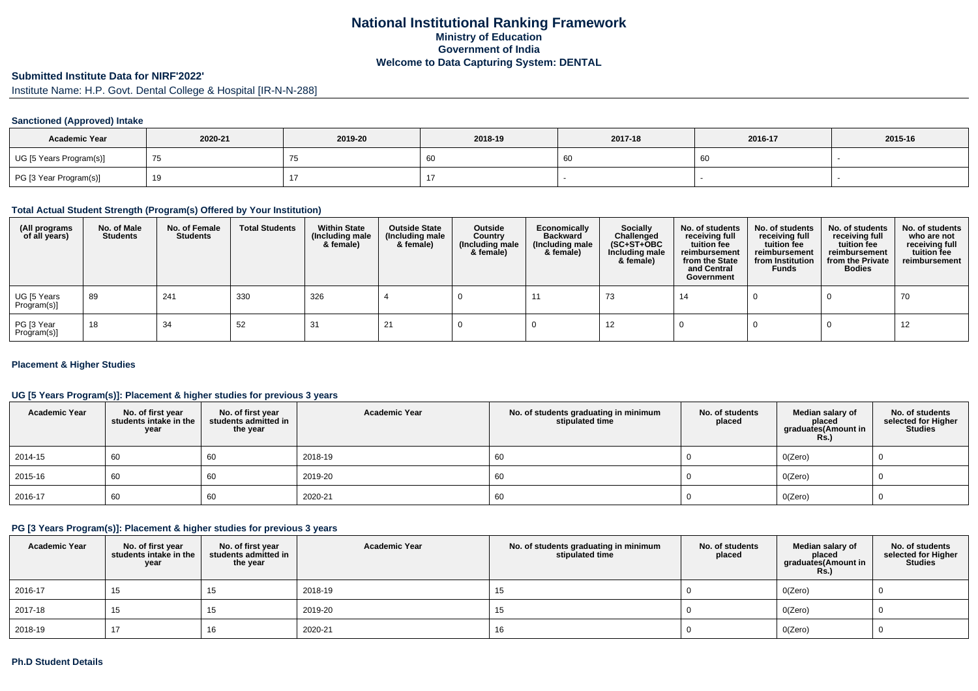# **National Institutional Ranking FrameworkMinistry of Education Government of IndiaWelcome to Data Capturing System: DENTAL**

#### **Submitted Institute Data for NIRF'2022'**

Institute Name: H.P. Govt. Dental College & Hospital [IR-N-N-288]

### **Sanctioned (Approved) Intake**

| <b>Academic Year</b>    | 2020-21 | 2019-20 | 2018-19 | 2017-18 | 2016-17 | 2015-16 |
|-------------------------|---------|---------|---------|---------|---------|---------|
| UG [5 Years Program(s)] |         |         | 60      |         | 60      |         |
| PG [3 Year Program(s)]  |         |         |         |         |         |         |

#### **Total Actual Student Strength (Program(s) Offered by Your Institution)**

| (All programs<br>of all years) | No. of Male<br><b>Students</b> | No. of Female<br>Students | <b>Total Students</b> | <b>Within State</b><br>(Including male<br>& female) | <b>Outside State</b><br>(Including male<br>& female) | Outside<br>Country<br>(Including male<br>& female) | Economically<br><b>Backward</b><br>(Including male<br>& female) | <b>Socially</b><br>Challenged<br>$(SC+ST+OBC)$<br>Including male<br>& female) | No. of students<br>receiving full<br>tuition fee<br>reimbursement<br>from the State<br>and Central<br>Government | No. of students<br>receiving full<br>tuition fee<br>reimbursement<br>from Institution<br><b>Funds</b> | No. of students<br>receiving full<br>tuition fee<br>reimbursement<br>from the Private<br><b>Bodies</b> | No. of students<br>who are not<br>receiving full<br>tuition fee<br>reimbursement |
|--------------------------------|--------------------------------|---------------------------|-----------------------|-----------------------------------------------------|------------------------------------------------------|----------------------------------------------------|-----------------------------------------------------------------|-------------------------------------------------------------------------------|------------------------------------------------------------------------------------------------------------------|-------------------------------------------------------------------------------------------------------|--------------------------------------------------------------------------------------------------------|----------------------------------------------------------------------------------|
| UG [5 Years<br>Program(s)]     | -89                            | 241                       | 330                   | 326                                                 |                                                      |                                                    |                                                                 | 73                                                                            | 14                                                                                                               |                                                                                                       |                                                                                                        | 70                                                                               |
| PG [3 Year<br>Program(s)]      | 18                             | 34                        | 52                    | 31                                                  |                                                      |                                                    |                                                                 | 12                                                                            |                                                                                                                  |                                                                                                       |                                                                                                        | 12                                                                               |

#### **Placement & Higher Studies**

#### **UG [5 Years Program(s)]: Placement & higher studies for previous 3 years**

| <b>Academic Year</b> | No. of first year<br>students intake in the<br>year | No. of first year<br>students admitted in<br>the year | <b>Academic Year</b> | No. of students graduating in minimum<br>stipulated time | No. of students<br>placed | Median salary of<br>placed<br>graduates(Amount in<br><b>Rs.)</b> | No. of students<br>selected for Higher<br><b>Studies</b> |
|----------------------|-----------------------------------------------------|-------------------------------------------------------|----------------------|----------------------------------------------------------|---------------------------|------------------------------------------------------------------|----------------------------------------------------------|
| 2014-15              | 60                                                  | 60                                                    | 2018-19              | 60                                                       |                           | O(Zero)                                                          |                                                          |
| 2015-16              | 60                                                  | 60                                                    | 2019-20              | 60                                                       |                           | O(Zero)                                                          |                                                          |
| $ 2016-17$           | 60                                                  | 60                                                    | 2020-21              | 60                                                       |                           | O(Zero)                                                          |                                                          |

#### **PG [3 Years Program(s)]: Placement & higher studies for previous 3 years**

| <b>Academic Year</b> | No. of first year<br>students intake in the<br>year | No. of first year<br>students admitted in<br>the year | <b>Academic Year</b> | No. of students graduating in minimum<br>stipulated time | No. of students<br>placed | Median salary of<br>placed<br>graduates(Amount in<br><b>Rs.)</b> | No. of students<br>selected for Higher<br><b>Studies</b> |
|----------------------|-----------------------------------------------------|-------------------------------------------------------|----------------------|----------------------------------------------------------|---------------------------|------------------------------------------------------------------|----------------------------------------------------------|
| 2016-17              | 15                                                  | 15                                                    | 2018-19              | 15                                                       |                           | O(Zero)                                                          |                                                          |
| 2017-18              | 15                                                  | 15                                                    | 2019-20              | כ ו                                                      |                           | O(Zero)                                                          |                                                          |
| 2018-19              | 17                                                  | 16                                                    | 2020-21              | 16                                                       |                           | O(Zero)                                                          |                                                          |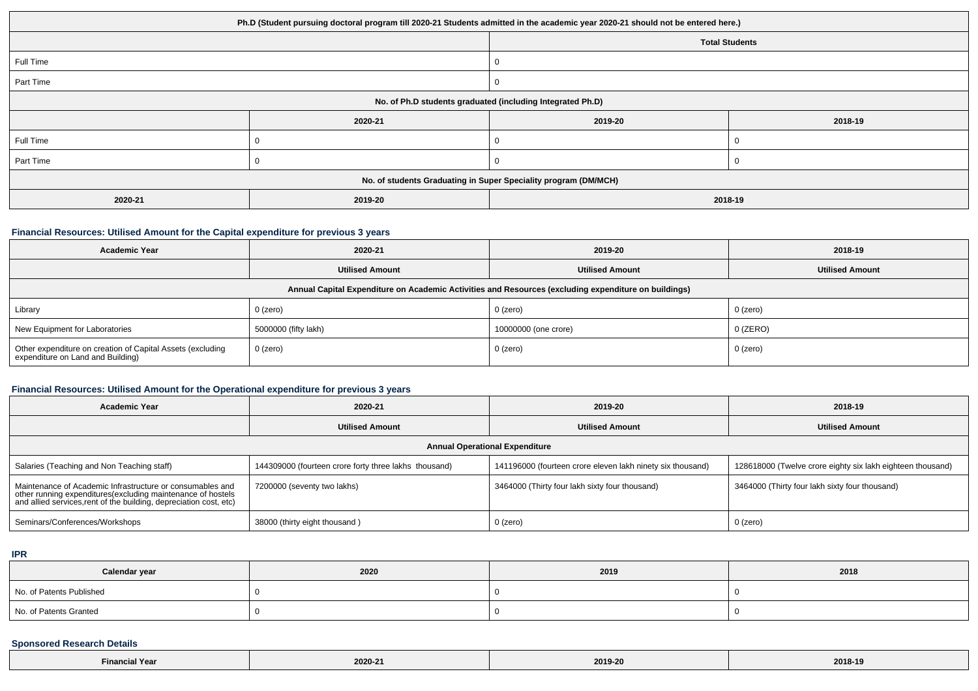| Ph.D (Student pursuing doctoral program till 2020-21 Students admitted in the academic year 2020-21 should not be entered here.) |         |                       |         |  |
|----------------------------------------------------------------------------------------------------------------------------------|---------|-----------------------|---------|--|
|                                                                                                                                  |         | <b>Total Students</b> |         |  |
| Full Time                                                                                                                        |         |                       |         |  |
| Part Time                                                                                                                        |         | 0                     |         |  |
| No. of Ph.D students graduated (including Integrated Ph.D)                                                                       |         |                       |         |  |
|                                                                                                                                  | 2020-21 | 2019-20               | 2018-19 |  |
| Full Time                                                                                                                        |         | 0                     |         |  |
| Part Time                                                                                                                        |         |                       |         |  |
| No. of students Graduating in Super Speciality program (DM/MCH)                                                                  |         |                       |         |  |
| 2020-21<br>2019-20<br>2018-19                                                                                                    |         |                       |         |  |

#### **Financial Resources: Utilised Amount for the Capital expenditure for previous 3 years**

| <b>Academic Year</b>                                                                                 | 2020-21                | 2019-20                | 2018-19                |  |  |
|------------------------------------------------------------------------------------------------------|------------------------|------------------------|------------------------|--|--|
|                                                                                                      | <b>Utilised Amount</b> | <b>Utilised Amount</b> | <b>Utilised Amount</b> |  |  |
| Annual Capital Expenditure on Academic Activities and Resources (excluding expenditure on buildings) |                        |                        |                        |  |  |
| Library                                                                                              | 0 (zero)               | 0 (zero)               | 0 (zero)               |  |  |
| New Equipment for Laboratories                                                                       | 5000000 (fifty lakh)   | 10000000 (one crore)   | $0$ (ZERO)             |  |  |
| Other expenditure on creation of Capital Assets (excluding<br>expenditure on Land and Building)      | 0 (zero)               | 0 (zero)               | 0 (zero)               |  |  |

## **Financial Resources: Utilised Amount for the Operational expenditure for previous 3 years**

| <b>Academic Year</b>                                                                                                                                                                           | 2020-21                                               | 2019-20                                                    | 2018-19                                                    |  |  |
|------------------------------------------------------------------------------------------------------------------------------------------------------------------------------------------------|-------------------------------------------------------|------------------------------------------------------------|------------------------------------------------------------|--|--|
|                                                                                                                                                                                                | <b>Utilised Amount</b>                                | <b>Utilised Amount</b>                                     | <b>Utilised Amount</b>                                     |  |  |
| <b>Annual Operational Expenditure</b>                                                                                                                                                          |                                                       |                                                            |                                                            |  |  |
| Salaries (Teaching and Non Teaching staff)                                                                                                                                                     | 144309000 (fourteen crore forty three lakhs thousand) | 141196000 (fourteen crore eleven lakh ninety six thousand) | 128618000 (Twelve crore eighty six lakh eighteen thousand) |  |  |
| Maintenance of Academic Infrastructure or consumables and<br>other running expenditures(excluding maintenance of hostels<br>and allied services, rent of the building, depreciation cost, etc) | 7200000 (seventy two lakhs)                           | 3464000 (Thirty four lakh sixty four thousand)             | 3464000 (Thirty four lakh sixty four thousand)             |  |  |
| Seminars/Conferences/Workshops                                                                                                                                                                 | 38000 (thirty eight thousand)                         | 0 (zero)                                                   | 0 (zero)                                                   |  |  |

**IPR**

| Calendar year            | 2020 | 2019 | 2018 |
|--------------------------|------|------|------|
| No. of Patents Published |      |      |      |
| No. of Patents Granted   |      |      |      |

## **Sponsored Research Details**

| IN Year<br>Finan<br> | 2020-21 | 2019-20 | 2018-19 |
|----------------------|---------|---------|---------|
|----------------------|---------|---------|---------|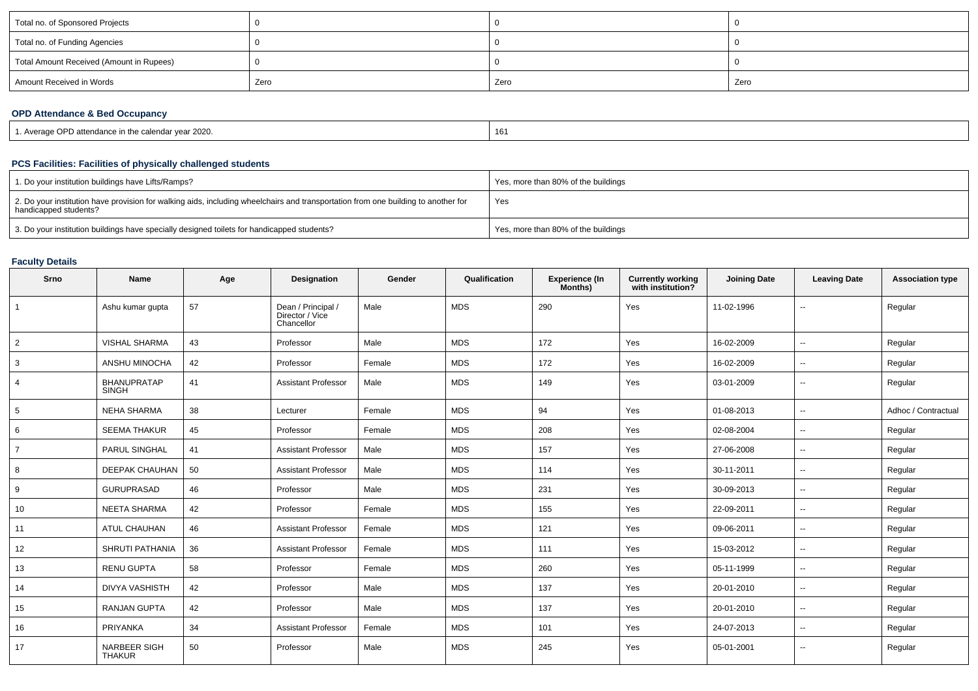| Total no. of Sponsored Projects          |      |      |      |
|------------------------------------------|------|------|------|
| Total no. of Funding Agencies            |      |      |      |
| Total Amount Received (Amount in Rupees) |      |      |      |
| Amount Received in Words                 | Zero | Zero | Zero |

#### **OPD Attendance & Bed Occupancy**

| L. Average OPD attendance in the calendar vear 2020. | $\overline{A}$<br>10 |
|------------------------------------------------------|----------------------|

## **PCS Facilities: Facilities of physically challenged students**

| 1. Do your institution buildings have Lifts/Ramps?                                                                                                         | Yes, more than 80% of the buildings |
|------------------------------------------------------------------------------------------------------------------------------------------------------------|-------------------------------------|
| 2. Do your institution have provision for walking aids, including wheelchairs and transportation from one building to another for<br>handicapped students? | Yes                                 |
| 3. Do your institution buildings have specially designed toilets for handicapped students?                                                                 | Yes, more than 80% of the buildings |

## **Faculty Details**

| Srno            | <b>Name</b>                          | Age | Designation                                         | Gender | Qualification | <b>Experience (In</b><br>Months) | <b>Currently working</b><br>with institution? | <b>Joining Date</b> | <b>Leaving Date</b>      | <b>Association type</b> |
|-----------------|--------------------------------------|-----|-----------------------------------------------------|--------|---------------|----------------------------------|-----------------------------------------------|---------------------|--------------------------|-------------------------|
| $\overline{1}$  | Ashu kumar gupta                     | 57  | Dean / Principal /<br>Director / Vice<br>Chancellor | Male   | <b>MDS</b>    | 290                              | Yes                                           | 11-02-1996          | $\overline{\phantom{a}}$ | Regular                 |
| $\overline{2}$  | <b>VISHAL SHARMA</b>                 | 43  | Professor                                           | Male   | <b>MDS</b>    | 172                              | Yes                                           | 16-02-2009          | $\mathbf{u}$             | Regular                 |
| 3               | ANSHU MINOCHA                        | 42  | Professor                                           | Female | <b>MDS</b>    | 172                              | Yes                                           | 16-02-2009          | $\sim$                   | Regular                 |
| $\overline{4}$  | <b>BHANUPRATAP</b><br><b>SINGH</b>   | 41  | <b>Assistant Professor</b>                          | Male   | <b>MDS</b>    | 149                              | Yes                                           | 03-01-2009          | $\overline{\phantom{a}}$ | Regular                 |
| $5\overline{5}$ | <b>NEHA SHARMA</b>                   | 38  | Lecturer                                            | Female | <b>MDS</b>    | 94                               | Yes                                           | 01-08-2013          | $\overline{\phantom{a}}$ | Adhoc / Contractual     |
| 6               | <b>SEEMA THAKUR</b>                  | 45  | Professor                                           | Female | <b>MDS</b>    | 208                              | Yes                                           | 02-08-2004          | $\sim$                   | Regular                 |
| $\overline{7}$  | <b>PARUL SINGHAL</b>                 | 41  | <b>Assistant Professor</b>                          | Male   | <b>MDS</b>    | 157                              | Yes                                           | 27-06-2008          | $\sim$                   | Regular                 |
| 8               | <b>DEEPAK CHAUHAN</b>                | 50  | <b>Assistant Professor</b>                          | Male   | <b>MDS</b>    | 114                              | Yes                                           | 30-11-2011          | $\mathbf{u}$             | Regular                 |
| 9               | <b>GURUPRASAD</b>                    | 46  | Professor                                           | Male   | <b>MDS</b>    | 231                              | Yes                                           | 30-09-2013          | $\sim$                   | Regular                 |
| 10              | <b>NEETA SHARMA</b>                  | 42  | Professor                                           | Female | <b>MDS</b>    | 155                              | Yes                                           | 22-09-2011          | $\overline{\phantom{a}}$ | Regular                 |
| 11              | <b>ATUL CHAUHAN</b>                  | 46  | <b>Assistant Professor</b>                          | Female | <b>MDS</b>    | 121                              | Yes                                           | 09-06-2011          | $\overline{\phantom{a}}$ | Regular                 |
| 12              | <b>SHRUTI PATHANIA</b>               | 36  | <b>Assistant Professor</b>                          | Female | <b>MDS</b>    | 111                              | Yes                                           | 15-03-2012          | $\overline{\phantom{a}}$ | Regular                 |
| 13              | <b>RENU GUPTA</b>                    | 58  | Professor                                           | Female | <b>MDS</b>    | 260                              | Yes                                           | 05-11-1999          | $\overline{\phantom{a}}$ | Regular                 |
| 14              | <b>DIVYA VASHISTH</b>                | 42  | Professor                                           | Male   | <b>MDS</b>    | 137                              | Yes                                           | 20-01-2010          | $\overline{\phantom{a}}$ | Regular                 |
| 15              | <b>RANJAN GUPTA</b>                  | 42  | Professor                                           | Male   | <b>MDS</b>    | 137                              | Yes                                           | 20-01-2010          | $\mathbf{u}$             | Regular                 |
| 16              | PRIYANKA                             | 34  | <b>Assistant Professor</b>                          | Female | <b>MDS</b>    | 101                              | Yes                                           | 24-07-2013          | $\sim$                   | Regular                 |
| 17              | <b>NARBEER SIGH</b><br><b>THAKUR</b> | 50  | Professor                                           | Male   | <b>MDS</b>    | 245                              | Yes                                           | 05-01-2001          | $\overline{\phantom{a}}$ | Regular                 |